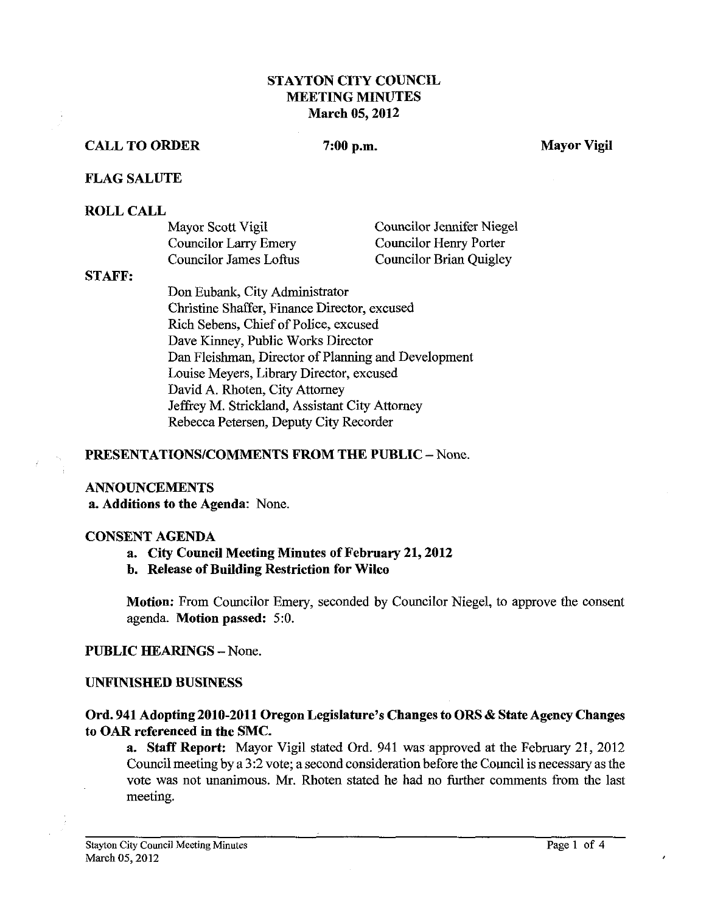# STAYTON CITY COUNCIL **MEETING MINUTES** March 05,2012

## CALL TO ORDER 7:00 p.m. Mayor Vigil

#### FLAG SALUTE

#### ROLL CALL

| Mayor Scott Vigil            | <b>Councilor Jennifer Niegel</b> |
|------------------------------|----------------------------------|
| <b>Councilor Larry Emery</b> | Councilor Henry Porter           |
| Councilor James Loftus       | Councilor Brian Quigley          |

#### ST **AFP:**

Don Eubank, City Administrator Christine Shaffer, Finance Director, excused Rich Sebens, Chief of Police, excused Dave Kinney, Public Works Director Dan Fleishman, Director of Planning and Development Louise Meyers, Library Director, excused David A. Rhoten, City Attorney Jeffrey M. Strickland, Assistant City Attorney Rebecca Petersen, Deputy City Recorder

#### PRESENTATIONS/COMMENTS FROM THE PUBLIC - None.

#### ANNOUNCEMENTS

a. Additions to the Agenda: None.

#### CONSENT AGENDA

- a. City Council Meeting Minutes of February 21,2012
- b. Release of Building Restriction for Wilco

Motion: From Councilor Emery, seconded by Councilor Niegel, to approve the consent agenda. Motion passed: 5:O.

PUBLIC HEARINGS - None.

#### UNFINISHED BUSINESS

## Ord. 941 Adopting2010-2011 Oregon Legislature's Changes to ORS & State Agency Changes to OAR referenced in the SMC.

a. Staff Report: Mayor Vigil stated Ord. 941 was approved at the February 21, 2012 Council meeting by a 3:2 vote; a second consideration before the Council is necessary as the vote was not unanimous. Mr. Rhoten stated he had no further comments from the last meeting.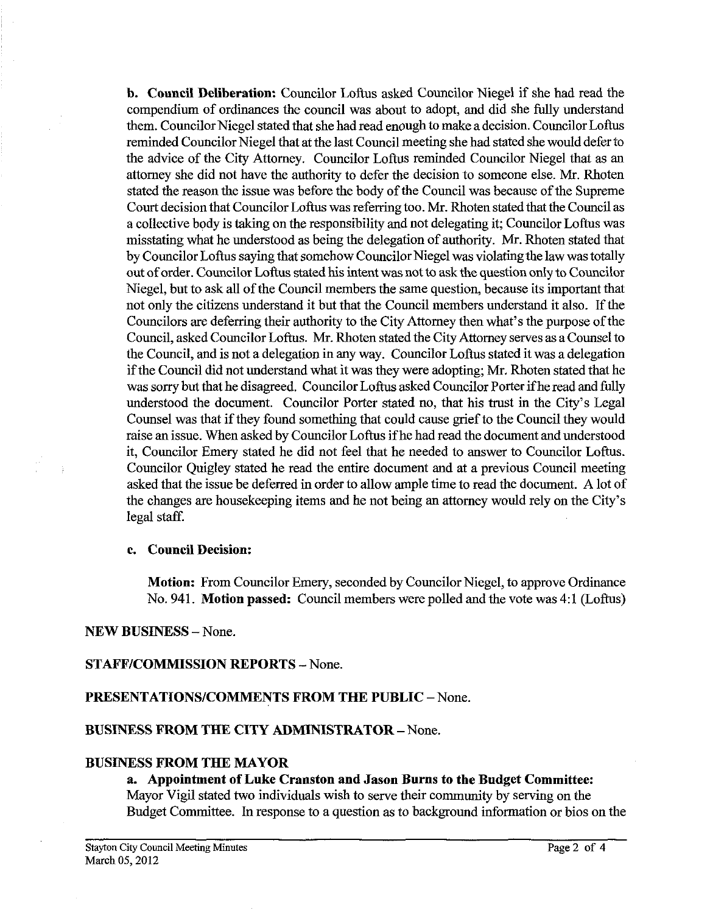**b. Council Deliberation:** Councilor Loftus asked Councilor Niegel if she had read the compendium of ordinances the council was about to adopt, and did she fully understand them. Councilor Niegel stated that she had read enough to make a decision. Councilor Loftus reminded Councilor Niegel that at the last Council meeting she had stated she would defer to the advice of the City Attorney. Councilor Loftus reminded Councilor Niegel that as an attorney she did not have the authority to defer the decision to someone else. Mr. Rhoten stated the reason the issue was before the body of the Council was because of the Supreme Court decision that Councilor Loftus was referring too. Mr. Rhoten stated that the Council as a collective body is taking on the responsibility and not delegating it; Councilor Loftus was misstating what he understood as being the delegation of authority. Mr. Rhoten stated that by Councilor Loftus saying that somehow Councilor Niegel was violatingthe law was totally out of order. Councilor Loftus stated his intent was not to ask the question only to Councilor Niegel, but to ask all of the Council members the same question, because its important that not only the citizens understand it but that the Council members understand it also. If the Councilors are deferring their authority to the City Attorney then what's the purpose of the Council, asked Councilor Loftus. Mr. Rhoten stated the City Attorney serves as a Counsel to the Council, and is not a delegation in any way. Councilor Loftus stated it was a delegation if the Council did not understand what it was they were adopting; Mr. Rhoten stated that he was sorry but that he disagreed. Councilor Loftus asked Councilor Porter if heread and fully understood the document. Councilor Porter stated no, that his trust in the City's Legal Counsel was that if they found something that could cause grief to the Council they would raise an issue. When asked by Councilor Loftus if he had read the document and understood it, Councilor Emery stated he did not feel that he needed to answer to Councilor Loftus. Councilor Quigley stated he read the entire document and at a previous Council meeting asked that the issue be deferred in order to allow ample time to read the document. A lot of the changes are housekeeping items and he not being an attorney would rely on the City's legal staff.

## **c. Council Decision:**

**Motion:** From Councilor Emery, seconded by Councilor Niegel, to approve Ordinance No. 941. **Motion passed:** Council members were polled and the vote was 4:1 (Loftus)

**NEW BUSINESS** -None.

## **STAFFICOMMISSION REPORTS** - None.

## **PRESENTATIONSICOMMENTS FROM THE PUBLIC** -None.

## **BUSINESS PROM THE CITY ADMINISTRATOR** - None.

## **BUSLNESS FROM THE MAYOR**

#### **a. Appointment of Luke Cranston and Jason Burns to the Budget Committee:**  Mayor Vigil stated two individuals wish to serve their community by serving on the Budget Committee. In response to a question as to background information or bios on the